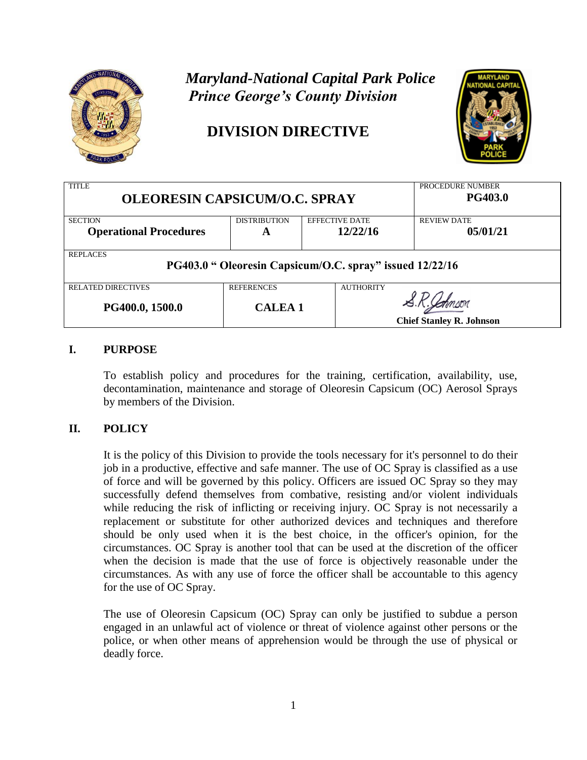

# *Maryland-National Capital Park Police Prince George's County Division*

# **DIVISION DIRECTIVE**



| <b>TITLE</b><br><b>OLEORESIN CAPSICUM/O.C. SPRAY</b>                        |                     |                       | PROCEDURE NUMBER<br><b>PG403.0</b> |  |  |
|-----------------------------------------------------------------------------|---------------------|-----------------------|------------------------------------|--|--|
| <b>SECTION</b>                                                              | <b>DISTRIBUTION</b> | <b>EFFECTIVE DATE</b> | <b>REVIEW DATE</b>                 |  |  |
| <b>Operational Procedures</b>                                               | A                   | 12/22/16              | 05/01/21                           |  |  |
| <b>REPLACES</b><br>PG403.0 " Oleoresin Capsicum/O.C. spray" issued 12/22/16 |                     |                       |                                    |  |  |
| <b>RELATED DIRECTIVES</b>                                                   | <b>REFERENCES</b>   | <b>AUTHORITY</b>      |                                    |  |  |
| PG400.0, 1500.0                                                             | <b>CALEA 1</b>      |                       |                                    |  |  |
|                                                                             |                     |                       | <b>Chief Stanley R. Johnson</b>    |  |  |

### **I. PURPOSE**

To establish policy and procedures for the training, certification, availability, use, decontamination, maintenance and storage of Oleoresin Capsicum (OC) Aerosol Sprays by members of the Division.

#### **II. POLICY**

It is the policy of this Division to provide the tools necessary for it's personnel to do their job in a productive, effective and safe manner. The use of OC Spray is classified as a use of force and will be governed by this policy. Officers are issued OC Spray so they may successfully defend themselves from combative, resisting and/or violent individuals while reducing the risk of inflicting or receiving injury. OC Spray is not necessarily a replacement or substitute for other authorized devices and techniques and therefore should be only used when it is the best choice, in the officer's opinion, for the circumstances. OC Spray is another tool that can be used at the discretion of the officer when the decision is made that the use of force is objectively reasonable under the circumstances. As with any use of force the officer shall be accountable to this agency for the use of OC Spray.

The use of Oleoresin Capsicum (OC) Spray can only be justified to subdue a person engaged in an unlawful act of violence or threat of violence against other persons or the police, or when other means of apprehension would be through the use of physical or deadly force.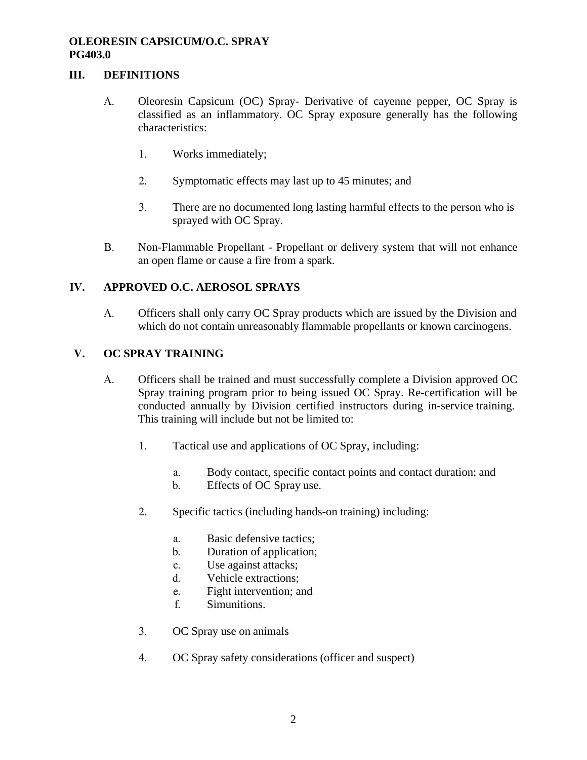#### **III. DEFINITIONS**

- A. Oleoresin Capsicum (OC) Spray- Derivative of cayenne pepper, OC Spray is classified as an inflammatory. OC Spray exposure generally has the following characteristics:
	- 1. Works immediately;
	- 2. Symptomatic effects may last up to 45 minutes; and
	- 3. There are no documented long lasting harmful effects to the person who is sprayed with OC Spray.
- B. Non-Flammable Propellant Propellant or delivery system that will not enhance an open flame or cause a fire from a spark.

#### **IV. APPROVED O.C. AEROSOL SPRAYS**

A. Officers shall only carry OC Spray products which are issued by the Division and which do not contain unreasonably flammable propellants or known carcinogens.

#### **V. OC SPRAY TRAINING**

- A. Officers shall be trained and must successfully complete a Division approved OC Spray training program prior to being issued OC Spray. Re-certification will be conducted annually by Division certified instructors during in-service training. This training will include but not be limited to:
	- 1. Tactical use and applications of OC Spray, including:
		- a. Body contact, specific contact points and contact duration; and
		- b. Effects of OC Spray use.
	- 2. Specific tactics (including hands-on training) including:
		- a. Basic defensive tactics;
		- b. Duration of application;
		- c. Use against attacks;
		- d. Vehicle extractions;
		- e. Fight intervention; and
		- f. Simunitions.
	- 3. OC Spray use on animals
	- 4. OC Spray safety considerations (officer and suspect)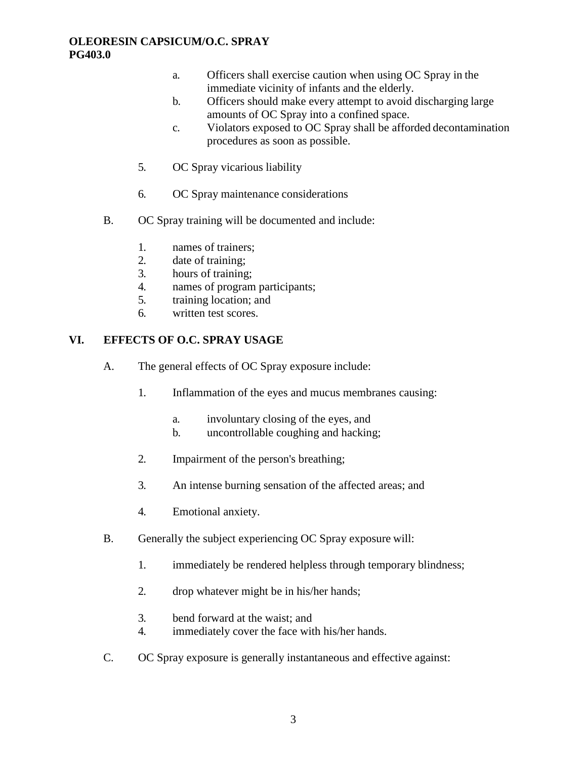- a. Officers shall exercise caution when using OC Spray in the immediate vicinity of infants and the elderly.
- b. Officers should make every attempt to avoid discharging large amounts of OC Spray into a confined space.
- c. Violators exposed to OC Spray shall be afforded decontamination procedures as soon as possible.
- 5. OC Spray vicarious liability
- 6. OC Spray maintenance considerations
- B. OC Spray training will be documented and include:
	- 1. names of trainers;
	- 2. date of training;
	- 3. hours of training;
	- 4. names of program participants;
	- 5. training location; and
	- 6. written test scores.

#### **VI. EFFECTS OF O.C. SPRAY USAGE**

- A. The general effects of OC Spray exposure include:
	- 1. Inflammation of the eyes and mucus membranes causing:
		- a. involuntary closing of the eyes, and
		- b. uncontrollable coughing and hacking;
	- 2. Impairment of the person's breathing;
	- 3. An intense burning sensation of the affected areas; and
	- 4. Emotional anxiety.
- B. Generally the subject experiencing OC Spray exposure will:
	- 1. immediately be rendered helpless through temporary blindness;
	- 2. drop whatever might be in his/her hands;
	- 3. bend forward at the waist; and
	- 4. immediately cover the face with his/her hands.
- C. OC Spray exposure is generally instantaneous and effective against: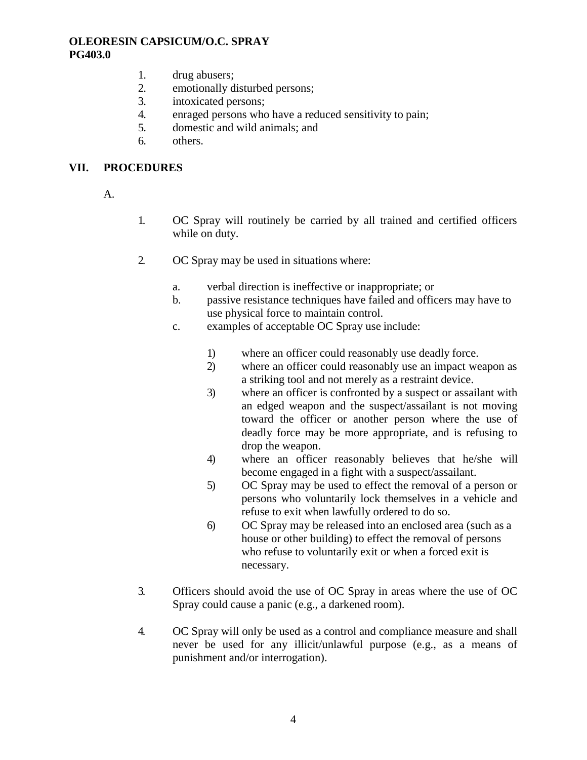- 1. drug abusers;
- 2. emotionally disturbed persons;
- 3. intoxicated persons;
- 4. enraged persons who have a reduced sensitivity to pain;
- 5. domestic and wild animals; and
- 6. others.

#### **VII. PROCEDURES**

- A.
- 1. OC Spray will routinely be carried by all trained and certified officers while on duty.
- 2. OC Spray may be used in situations where:
	- a. verbal direction is ineffective or inappropriate; or
	- b. passive resistance techniques have failed and officers may have to use physical force to maintain control.
	- c. examples of acceptable OC Spray use include:
		- 1) where an officer could reasonably use deadly force.
		- 2) where an officer could reasonably use an impact weapon as a striking tool and not merely as a restraint device.
		- 3) where an officer is confronted by a suspect or assailant with an edged weapon and the suspect/assailant is not moving toward the officer or another person where the use of deadly force may be more appropriate, and is refusing to drop the weapon.
		- 4) where an officer reasonably believes that he/she will become engaged in a fight with a suspect/assailant.
		- 5) OC Spray may be used to effect the removal of a person or persons who voluntarily lock themselves in a vehicle and refuse to exit when lawfully ordered to do so.
		- 6) OC Spray may be released into an enclosed area (such as a house or other building) to effect the removal of persons who refuse to voluntarily exit or when a forced exit is necessary.
- 3. Officers should avoid the use of OC Spray in areas where the use of OC Spray could cause a panic (e.g., a darkened room).
- 4. OC Spray will only be used as a control and compliance measure and shall never be used for any illicit/unlawful purpose (e.g., as a means of punishment and/or interrogation).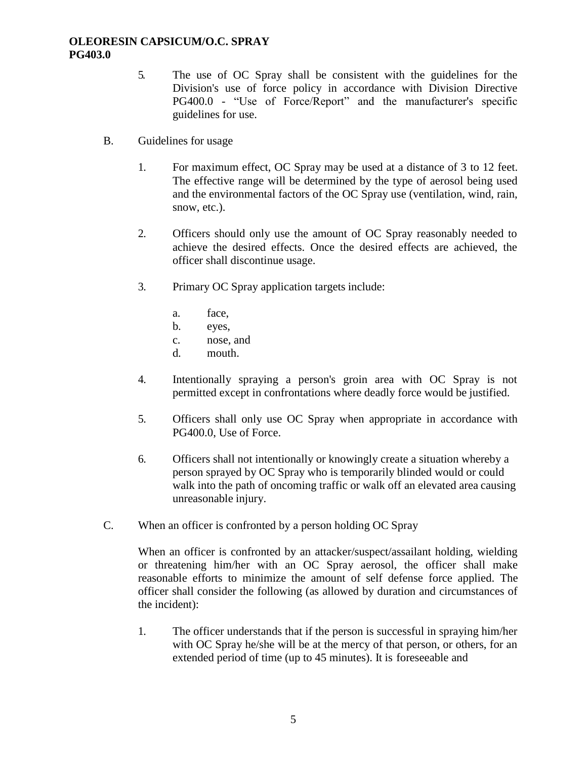- 5. The use of OC Spray shall be consistent with the guidelines for the Division's use of force policy in accordance with Division Directive PG400.0 - "Use of Force/Report" and the manufacturer's specific guidelines for use.
- B. Guidelines for usage
	- 1. For maximum effect, OC Spray may be used at a distance of 3 to 12 feet. The effective range will be determined by the type of aerosol being used and the environmental factors of the OC Spray use (ventilation, wind, rain, snow, etc.).
	- 2. Officers should only use the amount of OC Spray reasonably needed to achieve the desired effects. Once the desired effects are achieved, the officer shall discontinue usage.
	- 3. Primary OC Spray application targets include:
		- a. face,
		- b. eyes,
		- c. nose, and
		- d. mouth.
	- 4. Intentionally spraying a person's groin area with OC Spray is not permitted except in confrontations where deadly force would be justified.
	- 5. Officers shall only use OC Spray when appropriate in accordance with PG400.0, Use of Force.
	- 6. Officers shall not intentionally or knowingly create a situation whereby a person sprayed by OC Spray who is temporarily blinded would or could walk into the path of oncoming traffic or walk off an elevated area causing unreasonable injury.
- C. When an officer is confronted by a person holding OC Spray

When an officer is confronted by an attacker/suspect/assailant holding, wielding or threatening him/her with an OC Spray aerosol, the officer shall make reasonable efforts to minimize the amount of self defense force applied. The officer shall consider the following (as allowed by duration and circumstances of the incident):

1. The officer understands that if the person is successful in spraying him/her with OC Spray he/she will be at the mercy of that person, or others, for an extended period of time (up to 45 minutes). It is foreseeable and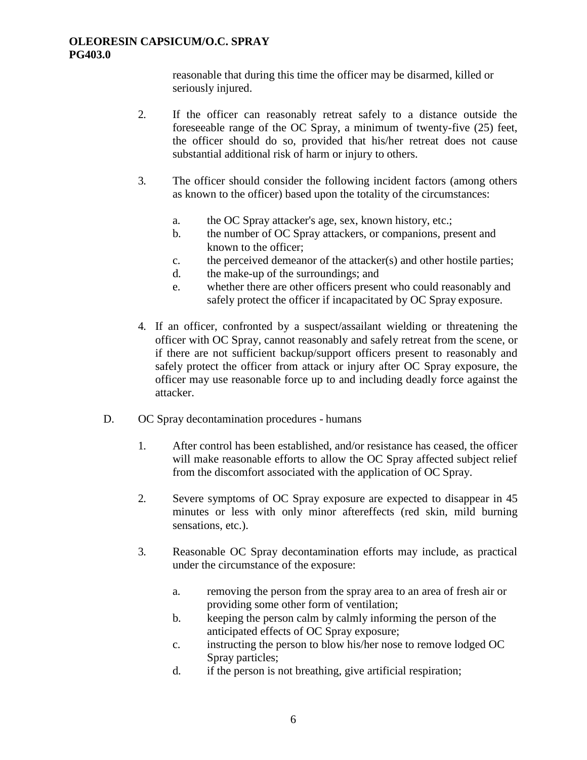reasonable that during this time the officer may be disarmed, killed or seriously injured.

- 2. If the officer can reasonably retreat safely to a distance outside the foreseeable range of the OC Spray, a minimum of twenty-five (25) feet, the officer should do so, provided that his/her retreat does not cause substantial additional risk of harm or injury to others.
- 3. The officer should consider the following incident factors (among others as known to the officer) based upon the totality of the circumstances:
	- a. the OC Spray attacker's age, sex, known history, etc.;
	- b. the number of OC Spray attackers, or companions, present and known to the officer;
	- c. the perceived demeanor of the attacker(s) and other hostile parties;
	- d. the make-up of the surroundings; and
	- e. whether there are other officers present who could reasonably and safely protect the officer if incapacitated by OC Spray exposure.
- 4. If an officer, confronted by a suspect/assailant wielding or threatening the officer with OC Spray, cannot reasonably and safely retreat from the scene, or if there are not sufficient backup/support officers present to reasonably and safely protect the officer from attack or injury after OC Spray exposure, the officer may use reasonable force up to and including deadly force against the attacker.
- D. OC Spray decontamination procedures humans
	- 1. After control has been established, and/or resistance has ceased, the officer will make reasonable efforts to allow the OC Spray affected subject relief from the discomfort associated with the application of OC Spray.
	- 2. Severe symptoms of OC Spray exposure are expected to disappear in 45 minutes or less with only minor aftereffects (red skin, mild burning sensations, etc.).
	- 3. Reasonable OC Spray decontamination efforts may include, as practical under the circumstance of the exposure:
		- a. removing the person from the spray area to an area of fresh air or providing some other form of ventilation;
		- b. keeping the person calm by calmly informing the person of the anticipated effects of OC Spray exposure;
		- c. instructing the person to blow his/her nose to remove lodged OC Spray particles;
		- d. if the person is not breathing, give artificial respiration;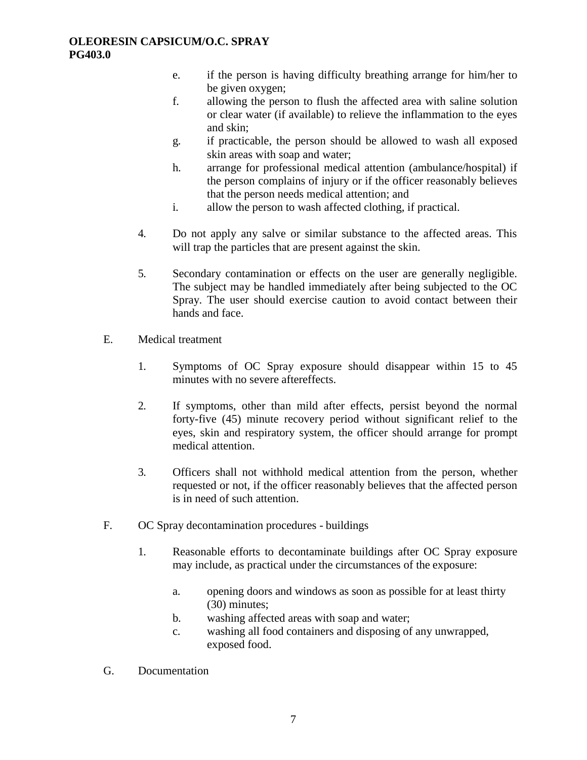- e. if the person is having difficulty breathing arrange for him/her to be given oxygen;
- f. allowing the person to flush the affected area with saline solution or clear water (if available) to relieve the inflammation to the eyes and skin;
- g. if practicable, the person should be allowed to wash all exposed skin areas with soap and water;
- h. arrange for professional medical attention (ambulance/hospital) if the person complains of injury or if the officer reasonably believes that the person needs medical attention; and
- i. allow the person to wash affected clothing, if practical.
- 4. Do not apply any salve or similar substance to the affected areas. This will trap the particles that are present against the skin.
- 5. Secondary contamination or effects on the user are generally negligible. The subject may be handled immediately after being subjected to the OC Spray. The user should exercise caution to avoid contact between their hands and face.
- E. Medical treatment
	- 1. Symptoms of OC Spray exposure should disappear within 15 to 45 minutes with no severe aftereffects.
	- 2. If symptoms, other than mild after effects, persist beyond the normal forty-five (45) minute recovery period without significant relief to the eyes, skin and respiratory system, the officer should arrange for prompt medical attention.
	- 3. Officers shall not withhold medical attention from the person, whether requested or not, if the officer reasonably believes that the affected person is in need of such attention.
- F. OC Spray decontamination procedures buildings
	- 1. Reasonable efforts to decontaminate buildings after OC Spray exposure may include, as practical under the circumstances of the exposure:
		- a. opening doors and windows as soon as possible for at least thirty (30) minutes;
		- b. washing affected areas with soap and water;
		- c. washing all food containers and disposing of any unwrapped, exposed food.
- G. Documentation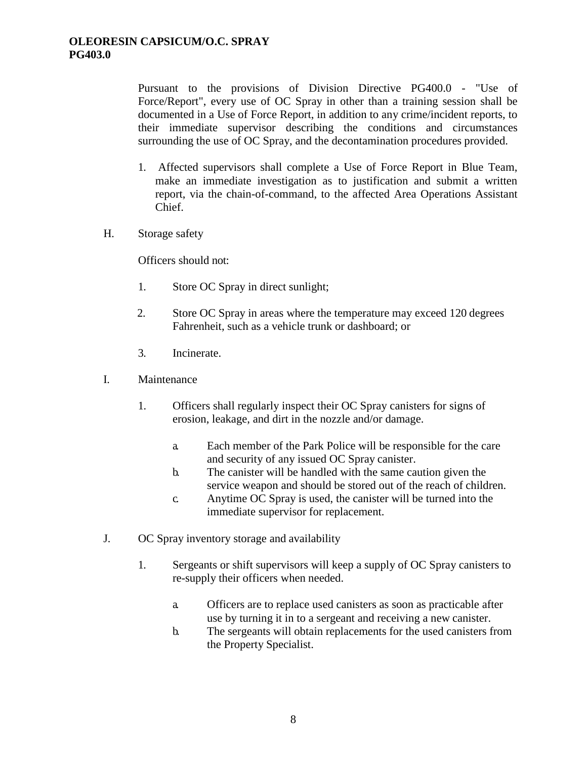Pursuant to the provisions of Division Directive PG400.0 - "Use of Force/Report", every use of OC Spray in other than a training session shall be documented in a Use of Force Report, in addition to any crime/incident reports, to their immediate supervisor describing the conditions and circumstances surrounding the use of OC Spray, and the decontamination procedures provided.

- 1. Affected supervisors shall complete a Use of Force Report in Blue Team, make an immediate investigation as to justification and submit a written report, via the chain-of-command, to the affected Area Operations Assistant Chief.
- H. Storage safety

Officers should not:

- 1. Store OC Spray in direct sunlight;
- 2. Store OC Spray in areas where the temperature may exceed 120 degrees Fahrenheit, such as a vehicle trunk or dashboard; or
- 3. Incinerate.
- I. Maintenance
	- 1. Officers shall regularly inspect their OC Spray canisters for signs of erosion, leakage, and dirt in the nozzle and/or damage.
		- a. Each member of the Park Police will be responsible for the care and security of any issued OC Spray canister.
		- b. The canister will be handled with the same caution given the service weapon and should be stored out of the reach of children.
		- c. Anytime OC Spray is used, the canister will be turned into the immediate supervisor for replacement.
- J. OC Spray inventory storage and availability
	- 1. Sergeants or shift supervisors will keep a supply of OC Spray canisters to re-supply their officers when needed.
		- a. Officers are to replace used canisters as soon as practicable after use by turning it in to a sergeant and receiving a new canister.
		- b. The sergeants will obtain replacements for the used canisters from the Property Specialist.